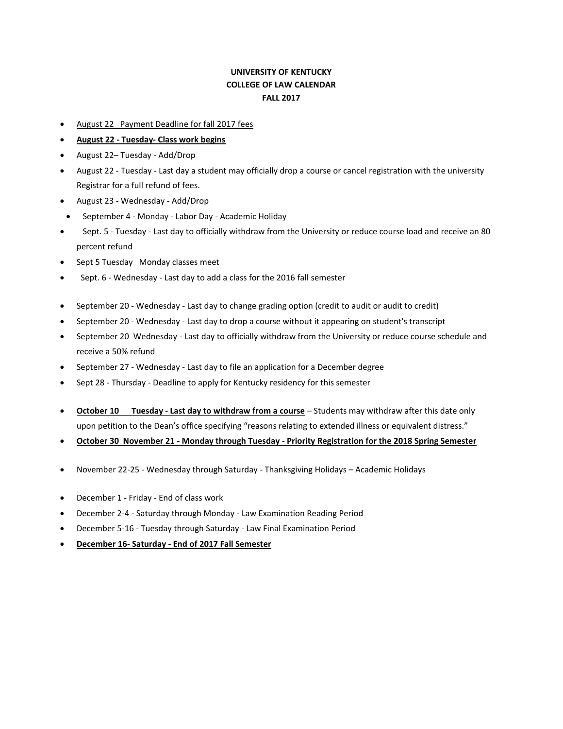## **UNIVERSITY OF KENTUCKY COLLEGE OF LAW CALENDAR FALL 2017**

- August 22 Payment Deadline for fall 2017 fees
- **August 22 - Tuesday- Class work begins**
- August 22– Tuesday Add/Drop
- August 22 Tuesday Last day a student may officially drop a course or cancel registration with the university Registrar for a full refund of fees.
- August 23 Wednesday Add/Drop
- September 4 Monday Labor Day Academic Holiday
- Sept. 5 Tuesday Last day to officially withdraw from the University or reduce course load and receive an 80 percent refund
- Sept 5 Tuesday Monday classes meet
- Sept. 6 Wednesday Last day to add a class for the 2016 fall semester
- September 20 Wednesday Last day to change grading option (credit to audit or audit to credit)
- September 20 Wednesday Last day to drop a course without it appearing on student's transcript
- September 20 Wednesday Last day to officially withdraw from the University or reduce course schedule and receive a 50% refund
- September 27 Wednesday Last day to file an application for a December degree
- Sept 28 Thursday Deadline to apply for Kentucky residency for this semester
- **October 10 Tuesday - Last day to withdraw from a course** Students may withdraw after this date only upon petition to the Dean's office specifying "reasons relating to extended illness or equivalent distress."
- **October 30 November 21 - Monday through Tuesday - Priority Registration for the 2018 Spring Semester**
- November 22-25 Wednesday through Saturday Thanksgiving Holidays Academic Holidays
- December 1 Friday End of class work
- December 2-4 Saturday through Monday Law Examination Reading Period
- December 5-16 Tuesday through Saturday Law Final Examination Period
- **December 16- Saturday - End of 2017 Fall Semester**